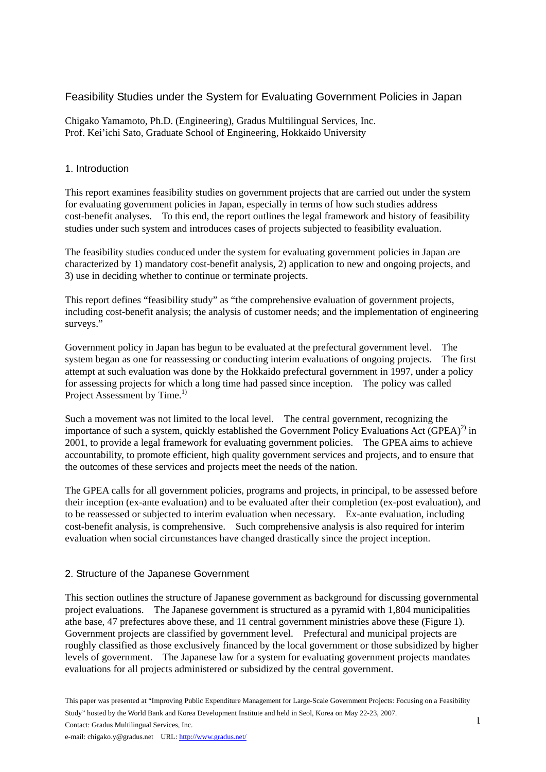## Feasibility Studies under the System for Evaluating Government Policies in Japan

Chigako Yamamoto, Ph.D. (Engineering), Gradus Multilingual Services, Inc. Prof. Kei'ichi Sato, Graduate School of Engineering, Hokkaido University

## 1. Introduction

This report examines feasibility studies on government projects that are carried out under the system for evaluating government policies in Japan, especially in terms of how such studies address cost-benefit analyses. To this end, the report outlines the legal framework and history of feasibility studies under such system and introduces cases of projects subjected to feasibility evaluation.

The feasibility studies conduced under the system for evaluating government policies in Japan are characterized by 1) mandatory cost-benefit analysis, 2) application to new and ongoing projects, and 3) use in deciding whether to continue or terminate projects.

This report defines "feasibility study" as "the comprehensive evaluation of government projects, including cost-benefit analysis; the analysis of customer needs; and the implementation of engineering surveys."

Government policy in Japan has begun to be evaluated at the prefectural government level. The system began as one for reassessing or conducting interim evaluations of ongoing projects. The first attempt at such evaluation was done by the Hokkaido prefectural government in 1997, under a policy for assessing projects for which a long time had passed since inception. The policy was called Project Assessment by Time.<sup>1)</sup>

Such a movement was not limited to the local level. The central government, recognizing the importance of such a system, quickly established the Government Policy Evaluations Act (GPEA)<sup>2)</sup> in 2001, to provide a legal framework for evaluating government policies. The GPEA aims to achieve accountability, to promote efficient, high quality government services and projects, and to ensure that the outcomes of these services and projects meet the needs of the nation.

The GPEA calls for all government policies, programs and projects, in principal, to be assessed before their inception (ex-ante evaluation) and to be evaluated after their completion (ex-post evaluation), and to be reassessed or subjected to interim evaluation when necessary. Ex-ante evaluation, including cost-benefit analysis, is comprehensive. Such comprehensive analysis is also required for interim evaluation when social circumstances have changed drastically since the project inception.

#### 2. Structure of the Japanese Government

This section outlines the structure of Japanese government as background for discussing governmental project evaluations. The Japanese government is structured as a pyramid with 1,804 municipalities athe base, 47 prefectures above these, and 11 central government ministries above these (Figure 1). Government projects are classified by government level. Prefectural and municipal projects are roughly classified as those exclusively financed by the local government or those subsidized by higher levels of government. The Japanese law for a system for evaluating government projects mandates evaluations for all projects administered or subsidized by the central government.

This paper was presented at "Improving Public Expenditure Management for Large-Scale Government Projects: Focusing on a Feasibility Study" hosted by the World Bank and Korea Development Institute and held in Seol, Korea on May 22-23, 2007.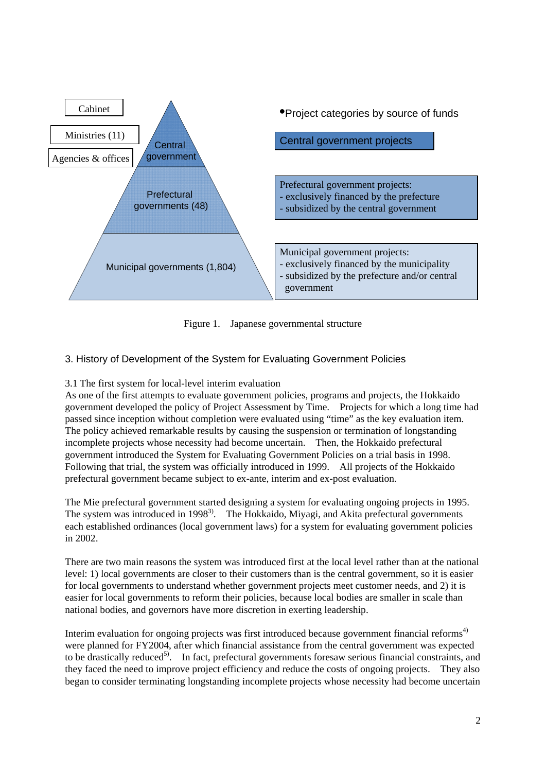

Figure 1. Japanese governmental structure

# 3. History of Development of the System for Evaluating Government Policies

# 3.1 The first system for local-level interim evaluation

As one of the first attempts to evaluate government policies, programs and projects, the Hokkaido government developed the policy of Project Assessment by Time. Projects for which a long time had passed since inception without completion were evaluated using "time" as the key evaluation item. The policy achieved remarkable results by causing the suspension or termination of longstanding incomplete projects whose necessity had become uncertain. Then, the Hokkaido prefectural government introduced the System for Evaluating Government Policies on a trial basis in 1998. Following that trial, the system was officially introduced in 1999. All projects of the Hokkaido prefectural government became subject to ex-ante, interim and ex-post evaluation.

The Mie prefectural government started designing a system for evaluating ongoing projects in 1995. The system was introduced in 1998<sup>3)</sup>. The Hokkaido, Miyagi, and Akita prefectural governments each established ordinances (local government laws) for a system for evaluating government policies in 2002.

There are two main reasons the system was introduced first at the local level rather than at the national level: 1) local governments are closer to their customers than is the central government, so it is easier for local governments to understand whether government projects meet customer needs, and 2) it is easier for local governments to reform their policies, because local bodies are smaller in scale than national bodies, and governors have more discretion in exerting leadership.

Interim evaluation for ongoing projects was first introduced because government financial reforms<sup>4)</sup> were planned for FY2004, after which financial assistance from the central government was expected to be drastically reduced<sup>5</sup>. In fact, prefectural governments foresaw serious financial constraints, and they faced the need to improve project efficiency and reduce the costs of ongoing projects. They also began to consider terminating longstanding incomplete projects whose necessity had become uncertain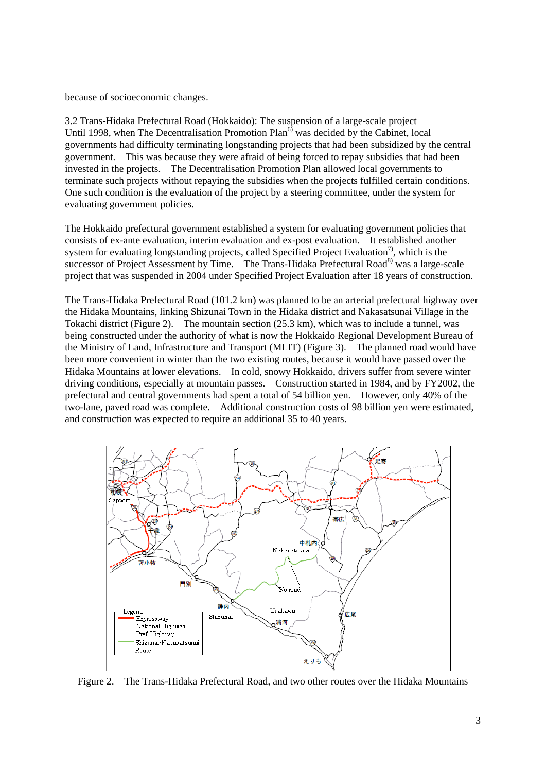because of socioeconomic changes.

3.2 Trans-Hidaka Prefectural Road (Hokkaido): The suspension of a large-scale project Until 1998, when The Decentralisation Promotion  $Plan<sup>6</sup>$  was decided by the Cabinet, local governments had difficulty terminating longstanding projects that had been subsidized by the central government. This was because they were afraid of being forced to repay subsidies that had been invested in the projects. The Decentralisation Promotion Plan allowed local governments to terminate such projects without repaying the subsidies when the projects fulfilled certain conditions. One such condition is the evaluation of the project by a steering committee, under the system for evaluating government policies.

The Hokkaido prefectural government established a system for evaluating government policies that consists of ex-ante evaluation, interim evaluation and ex-post evaluation. It established another system for evaluating longstanding projects, called Specified Project Evaluation<sup>7</sup>, which is the successor of Project Assessment by Time. The Trans-Hidaka Prefectural Road<sup>8)</sup> was a large-scale project that was suspended in 2004 under Specified Project Evaluation after 18 years of construction.

The Trans-Hidaka Prefectural Road (101.2 km) was planned to be an arterial prefectural highway over the Hidaka Mountains, linking Shizunai Town in the Hidaka district and Nakasatsunai Village in the Tokachi district (Figure 2). The mountain section (25.3 km), which was to include a tunnel, was being constructed under the authority of what is now the Hokkaido Regional Development Bureau of the Ministry of Land, Infrastructure and Transport (MLIT) (Figure 3). The planned road would have been more convenient in winter than the two existing routes, because it would have passed over the Hidaka Mountains at lower elevations. In cold, snowy Hokkaido, drivers suffer from severe winter driving conditions, especially at mountain passes. Construction started in 1984, and by FY2002, the prefectural and central governments had spent a total of 54 billion yen. However, only 40% of the two-lane, paved road was complete. Additional construction costs of 98 billion yen were estimated, and construction was expected to require an additional 35 to 40 years.



Figure 2. The Trans-Hidaka Prefectural Road, and two other routes over the Hidaka Mountains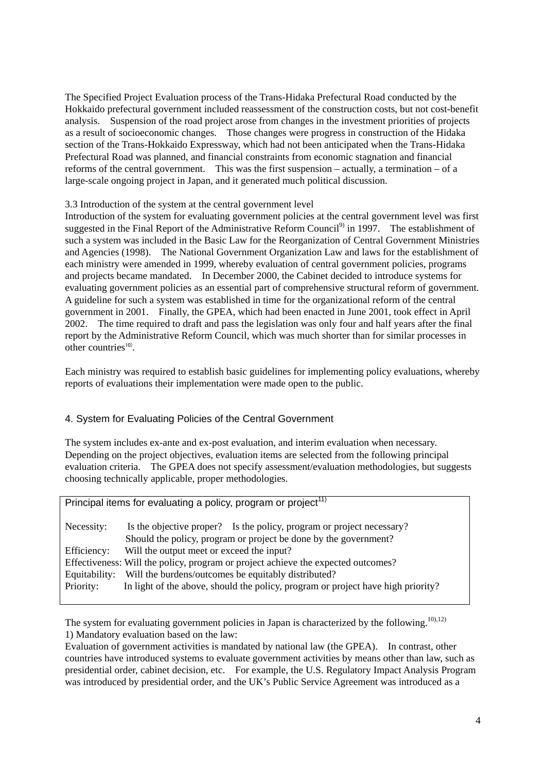The Specified Project Evaluation process of the Trans-Hidaka Prefectural Road conducted by the Hokkaido prefectural government included reassessment of the construction costs, but not cost-benefit analysis. Suspension of the road project arose from changes in the investment priorities of projects as a result of socioeconomic changes. Those changes were progress in construction of the Hidaka section of the Trans-Hokkaido Expressway, which had not been anticipated when the Trans-Hidaka Prefectural Road was planned, and financial constraints from economic stagnation and financial reforms of the central government. This was the first suspension – actually, a termination – of a large-scale ongoing project in Japan, and it generated much political discussion.

#### 3.3 Introduction of the system at the central government level

Introduction of the system for evaluating government policies at the central government level was first suggested in the Final Report of the Administrative Reform Council<sup>9)</sup> in 1997. The establishment of such a system was included in the Basic Law for the Reorganization of Central Government Ministries and Agencies (1998). The National Government Organization Law and laws for the establishment of each ministry were amended in 1999, whereby evaluation of central government policies, programs and projects became mandated. In December 2000, the Cabinet decided to introduce systems for evaluating government policies as an essential part of comprehensive structural reform of government. A guideline for such a system was established in time for the organizational reform of the central government in 2001. Finally, the GPEA, which had been enacted in June 2001, took effect in April 2002. The time required to draft and pass the legislation was only four and half years after the final report by the Administrative Reform Council, which was much shorter than for similar processes in other countries $10$ .

Each ministry was required to establish basic guidelines for implementing policy evaluations, whereby reports of evaluations their implementation were made open to the public.

## 4. System for Evaluating Policies of the Central Government

The system includes ex-ante and ex-post evaluation, and interim evaluation when necessary. Depending on the project objectives, evaluation items are selected from the following principal evaluation criteria. The GPEA does not specify assessment/evaluation methodologies, but suggests choosing technically applicable, proper methodologies.

| Principal items for evaluating a policy, program or project <sup>11)</sup> |                                                                                   |  |  |  |  |
|----------------------------------------------------------------------------|-----------------------------------------------------------------------------------|--|--|--|--|
| Necessity:                                                                 | Is the objective proper? Is the policy, program or project necessary?             |  |  |  |  |
|                                                                            | Should the policy, program or project be done by the government?                  |  |  |  |  |
| Efficiency:                                                                | Will the output meet or exceed the input?                                         |  |  |  |  |
|                                                                            | Effectiveness: Will the policy, program or project achieve the expected outcomes? |  |  |  |  |
| Equitability:                                                              | Will the burdens/outcomes be equitably distributed?                               |  |  |  |  |
| Priority:                                                                  | In light of the above, should the policy, program or project have high priority?  |  |  |  |  |

The system for evaluating government policies in Japan is characterized by the following.<sup>10),12)</sup> 1) Mandatory evaluation based on the law:

Evaluation of government activities is mandated by national law (the GPEA). In contrast, other countries have introduced systems to evaluate government activities by means other than law, such as presidential order, cabinet decision, etc. For example, the U.S. Regulatory Impact Analysis Program was introduced by presidential order, and the UK's Public Service Agreement was introduced as a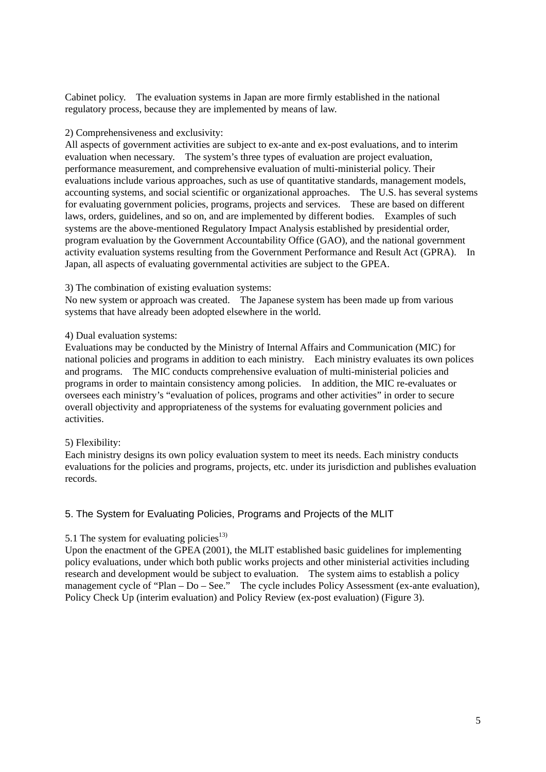Cabinet policy. The evaluation systems in Japan are more firmly established in the national regulatory process, because they are implemented by means of law.

#### 2) Comprehensiveness and exclusivity:

All aspects of government activities are subject to ex-ante and ex-post evaluations, and to interim evaluation when necessary. The system's three types of evaluation are project evaluation, performance measurement, and comprehensive evaluation of multi-ministerial policy. Their evaluations include various approaches, such as use of quantitative standards, management models, accounting systems, and social scientific or organizational approaches. The U.S. has several systems for evaluating government policies, programs, projects and services. These are based on different laws, orders, guidelines, and so on, and are implemented by different bodies. Examples of such systems are the above-mentioned Regulatory Impact Analysis established by presidential order, program evaluation by the Government Accountability Office (GAO), and the national government activity evaluation systems resulting from the Government Performance and Result Act (GPRA). In Japan, all aspects of evaluating governmental activities are subject to the GPEA.

#### 3) The combination of existing evaluation systems:

No new system or approach was created. The Japanese system has been made up from various systems that have already been adopted elsewhere in the world.

#### 4) Dual evaluation systems:

Evaluations may be conducted by the Ministry of Internal Affairs and Communication (MIC) for national policies and programs in addition to each ministry. Each ministry evaluates its own polices and programs. The MIC conducts comprehensive evaluation of multi-ministerial policies and programs in order to maintain consistency among policies. In addition, the MIC re-evaluates or oversees each ministry's "evaluation of polices, programs and other activities" in order to secure overall objectivity and appropriateness of the systems for evaluating government policies and activities.

#### 5) Flexibility:

Each ministry designs its own policy evaluation system to meet its needs. Each ministry conducts evaluations for the policies and programs, projects, etc. under its jurisdiction and publishes evaluation records.

## 5. The System for Evaluating Policies, Programs and Projects of the MLIT

## 5.1 The system for evaluating policies<sup>13)</sup>

Upon the enactment of the GPEA (2001), the MLIT established basic guidelines for implementing policy evaluations, under which both public works projects and other ministerial activities including research and development would be subject to evaluation. The system aims to establish a policy management cycle of "Plan – Do – See." The cycle includes Policy Assessment (ex-ante evaluation), Policy Check Up (interim evaluation) and Policy Review (ex-post evaluation) (Figure 3).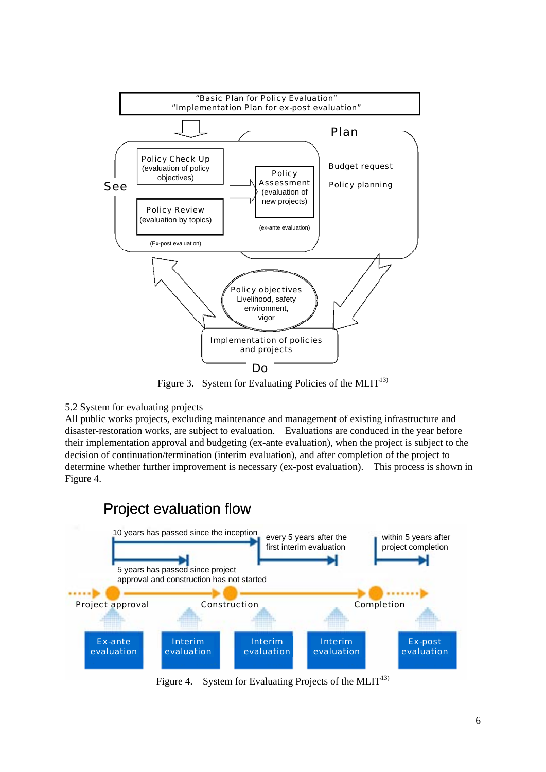

Figure 3. System for Evaluating Policies of the MLIT<sup>13)</sup>

## 5.2 System for evaluating projects

All public works projects, excluding maintenance and management of existing infrastructure and disaster-restoration works, are subject to evaluation. Evaluations are conduced in the year before their implementation approval and budgeting (ex-ante evaluation), when the project is subject to the decision of continuation/termination (interim evaluation), and after completion of the project to determine whether further improvement is necessary (ex-post evaluation). This process is shown in Figure 4.



Figure 4. System for Evaluating Projects of the MLIT<sup>13)</sup>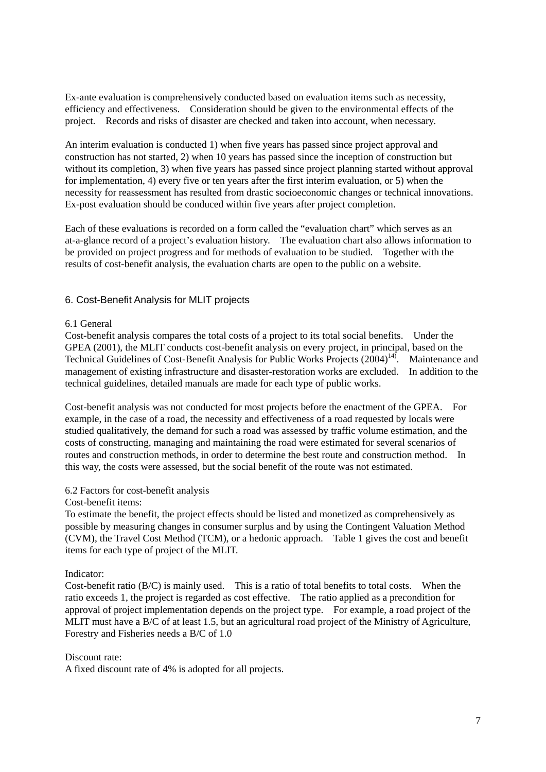Ex-ante evaluation is comprehensively conducted based on evaluation items such as necessity, efficiency and effectiveness. Consideration should be given to the environmental effects of the project. Records and risks of disaster are checked and taken into account, when necessary.

An interim evaluation is conducted 1) when five years has passed since project approval and construction has not started, 2) when 10 years has passed since the inception of construction but without its completion, 3) when five years has passed since project planning started without approval for implementation, 4) every five or ten years after the first interim evaluation, or 5) when the necessity for reassessment has resulted from drastic socioeconomic changes or technical innovations. Ex-post evaluation should be conduced within five years after project completion.

Each of these evaluations is recorded on a form called the "evaluation chart" which serves as an at-a-glance record of a project's evaluation history. The evaluation chart also allows information to be provided on project progress and for methods of evaluation to be studied. Together with the results of cost-benefit analysis, the evaluation charts are open to the public on a website.

## 6. Cost-Benefit Analysis for MLIT projects

#### 6.1 General

Cost-benefit analysis compares the total costs of a project to its total social benefits. Under the GPEA (2001), the MLIT conducts cost-benefit analysis on every project, in principal, based on the Technical Guidelines of Cost-Benefit Analysis for Public Works Projects (2004)<sup>14)</sup>. Maintenance and management of existing infrastructure and disaster-restoration works are excluded. In addition to the technical guidelines, detailed manuals are made for each type of public works.

Cost-benefit analysis was not conducted for most projects before the enactment of the GPEA. For example, in the case of a road, the necessity and effectiveness of a road requested by locals were studied qualitatively, the demand for such a road was assessed by traffic volume estimation, and the costs of constructing, managing and maintaining the road were estimated for several scenarios of routes and construction methods, in order to determine the best route and construction method. In this way, the costs were assessed, but the social benefit of the route was not estimated.

#### 6.2 Factors for cost-benefit analysis

#### Cost-benefit items:

To estimate the benefit, the project effects should be listed and monetized as comprehensively as possible by measuring changes in consumer surplus and by using the Contingent Valuation Method (CVM), the Travel Cost Method (TCM), or a hedonic approach. Table 1 gives the cost and benefit items for each type of project of the MLIT.

## Indicator:

Cost-benefit ratio (B/C) is mainly used. This is a ratio of total benefits to total costs. When the ratio exceeds 1, the project is regarded as cost effective. The ratio applied as a precondition for approval of project implementation depends on the project type. For example, a road project of the MLIT must have a B/C of at least 1.5, but an agricultural road project of the Ministry of Agriculture, Forestry and Fisheries needs a B/C of 1.0

#### Discount rate:

A fixed discount rate of 4% is adopted for all projects.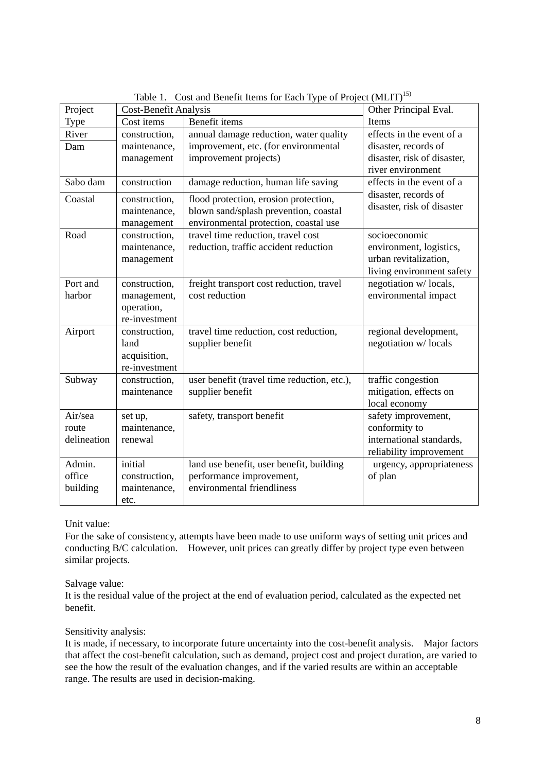|             |                       | Table 1. Cost and Benefit Reflis for Each Type of Project (METT) |                             |  |
|-------------|-----------------------|------------------------------------------------------------------|-----------------------------|--|
| Project     | Cost-Benefit Analysis |                                                                  | Other Principal Eval.       |  |
| Type        | Cost items            | Benefit items                                                    | Items                       |  |
| River       | construction,         | annual damage reduction, water quality                           | effects in the event of a   |  |
| Dam         | maintenance,          | improvement, etc. (for environmental                             | disaster, records of        |  |
|             | management            | improvement projects)                                            | disaster, risk of disaster, |  |
|             |                       |                                                                  | river environment           |  |
| Sabo dam    | construction          | damage reduction, human life saving                              | effects in the event of a   |  |
| Coastal     | construction,         | flood protection, erosion protection,                            | disaster, records of        |  |
|             | maintenance,          | blown sand/splash prevention, coastal                            | disaster, risk of disaster  |  |
|             | management            | environmental protection, coastal use                            |                             |  |
| Road        | construction,         | travel time reduction, travel cost                               | socioeconomic               |  |
|             | maintenance,          | reduction, traffic accident reduction                            | environment, logistics,     |  |
|             | management            |                                                                  | urban revitalization,       |  |
|             |                       |                                                                  | living environment safety   |  |
| Port and    | construction,         | freight transport cost reduction, travel                         | negotiation w/locals,       |  |
| harbor      | management,           | cost reduction                                                   | environmental impact        |  |
|             | operation,            |                                                                  |                             |  |
|             | re-investment         |                                                                  |                             |  |
| Airport     | construction,         | travel time reduction, cost reduction,                           | regional development,       |  |
|             | land                  | supplier benefit                                                 | negotiation w/locals        |  |
|             | acquisition,          |                                                                  |                             |  |
|             | re-investment         |                                                                  |                             |  |
| Subway      | construction,         | user benefit (travel time reduction, etc.),                      | traffic congestion          |  |
|             | maintenance           | supplier benefit                                                 | mitigation, effects on      |  |
|             |                       |                                                                  | local economy               |  |
| Air/sea     | set up,               | safety, transport benefit                                        | safety improvement,         |  |
| route       | maintenance,          |                                                                  | conformity to               |  |
| delineation | renewal               |                                                                  | international standards,    |  |
|             |                       |                                                                  | reliability improvement     |  |
| Admin.      | initial               | land use benefit, user benefit, building                         | urgency, appropriateness    |  |
| office      | construction,         | performance improvement,                                         | of plan                     |  |
| building    | maintenance,          | environmental friendliness                                       |                             |  |
|             | etc.                  |                                                                  |                             |  |

Table 1. Cost and Benefit Items for Each Type of Project (MLIT)<sup>15)</sup>

Unit value:

For the sake of consistency, attempts have been made to use uniform ways of setting unit prices and conducting B/C calculation. However, unit prices can greatly differ by project type even between similar projects.

Salvage value:

It is the residual value of the project at the end of evaluation period, calculated as the expected net benefit.

## Sensitivity analysis:

It is made, if necessary, to incorporate future uncertainty into the cost-benefit analysis. Major factors that affect the cost-benefit calculation, such as demand, project cost and project duration, are varied to see the how the result of the evaluation changes, and if the varied results are within an acceptable range. The results are used in decision-making.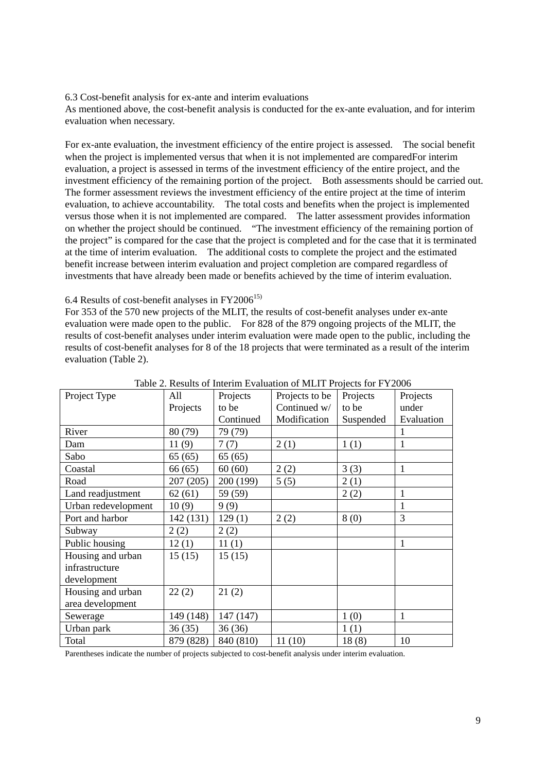6.3 Cost-benefit analysis for ex-ante and interim evaluations

As mentioned above, the cost-benefit analysis is conducted for the ex-ante evaluation, and for interim evaluation when necessary.

For ex-ante evaluation, the investment efficiency of the entire project is assessed. The social benefit when the project is implemented versus that when it is not implemented are comparedFor interim evaluation, a project is assessed in terms of the investment efficiency of the entire project, and the investment efficiency of the remaining portion of the project. Both assessments should be carried out. The former assessment reviews the investment efficiency of the entire project at the time of interim evaluation, to achieve accountability. The total costs and benefits when the project is implemented versus those when it is not implemented are compared. The latter assessment provides information on whether the project should be continued. "The investment efficiency of the remaining portion of the project" is compared for the case that the project is completed and for the case that it is terminated at the time of interim evaluation. The additional costs to complete the project and the estimated benefit increase between interim evaluation and project completion are compared regardless of investments that have already been made or benefits achieved by the time of interim evaluation.

#### 6.4 Results of cost-benefit analyses in  $FY2006^{15}$

For 353 of the 570 new projects of the MLIT, the results of cost-benefit analyses under ex-ante evaluation were made open to the public. For 828 of the 879 ongoing projects of the MLIT, the results of cost-benefit analyses under interim evaluation were made open to the public, including the results of cost-benefit analyses for 8 of the 18 projects that were terminated as a result of the interim evaluation (Table 2).

| Project Type        | All       | Projects  | Projects to be | Projects  | Projects     |
|---------------------|-----------|-----------|----------------|-----------|--------------|
|                     | Projects  | to be     | Continued w/   | to be     | under        |
|                     |           | Continued | Modification   | Suspended | Evaluation   |
| River               | 80 (79)   | 79 (79)   |                |           |              |
| Dam                 | 11(9)     | 7(7)      | 2(1)           | 1(1)      | $\mathbf{1}$ |
| Sabo                | 65(65)    | 65(65)    |                |           |              |
| Coastal             | 66(65)    | 60(60)    | 2(2)           | 3(3)      | 1            |
| Road                | 207(205)  | 200 (199) | 5(5)           | 2(1)      |              |
| Land readjustment   | 62(61)    | 59 (59)   |                | 2(2)      | 1            |
| Urban redevelopment | 10(9)     | 9(9)      |                |           | 1            |
| Port and harbor     | 142 (131) | 129(1)    | 2(2)           | 8(0)      | 3            |
| Subway              | 2(2)      | 2(2)      |                |           |              |
| Public housing      | 12(1)     | 11(1)     |                |           |              |
| Housing and urban   | 15(15)    | 15(15)    |                |           |              |
| infrastructure      |           |           |                |           |              |
| development         |           |           |                |           |              |
| Housing and urban   | 22(2)     | 21(2)     |                |           |              |
| area development    |           |           |                |           |              |
| Sewerage            | 149 (148) | 147 (147) |                | 1(0)      | 1            |
| Urban park          | 36(35)    | 36(36)    |                | 1(1)      |              |
| Total               | 879 (828) | 840 (810) | 11(10)         | 18(8)     | 10           |

Table 2. Results of Interim Evaluation of MLIT Projects for FY2006

Parentheses indicate the number of projects subjected to cost-benefit analysis under interim evaluation.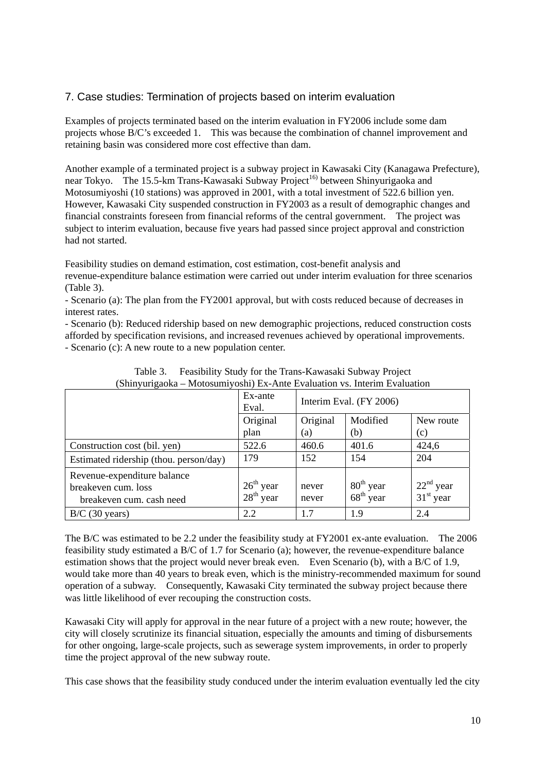## 7. Case studies: Termination of projects based on interim evaluation

Examples of projects terminated based on the interim evaluation in FY2006 include some dam projects whose B/C's exceeded 1. This was because the combination of channel improvement and retaining basin was considered more cost effective than dam.

Another example of a terminated project is a subway project in Kawasaki City (Kanagawa Prefecture), near Tokyo. The 15.5-km Trans-Kawasaki Subway Project<sup>16)</sup> between Shinyurigaoka and Motosumiyoshi (10 stations) was approved in 2001, with a total investment of 522.6 billion yen. However, Kawasaki City suspended construction in FY2003 as a result of demographic changes and financial constraints foreseen from financial reforms of the central government. The project was subject to interim evaluation, because five years had passed since project approval and constriction had not started.

Feasibility studies on demand estimation, cost estimation, cost-benefit analysis and revenue-expenditure balance estimation were carried out under interim evaluation for three scenarios (Table 3).

- Scenario (a): The plan from the FY2001 approval, but with costs reduced because of decreases in interest rates.

- Scenario (b): Reduced ridership based on new demographic projections, reduced construction costs afforded by specification revisions, and increased revenues achieved by operational improvements.

- Scenario (c): A new route to a new population center.

|                                                                                | Ex-ante<br>Eval.           | Interim Eval. (FY 2006) |                                         |                                      |
|--------------------------------------------------------------------------------|----------------------------|-------------------------|-----------------------------------------|--------------------------------------|
|                                                                                | Original<br>plan           | Original<br>(a)         | Modified<br>(b)                         | New route<br>(c)                     |
| Construction cost (bil. yen)                                                   | 522.6                      | 460.6                   | 401.6                                   | 424,6                                |
| Estimated ridership (thou. person/day)                                         | 179                        | 152                     | 154                                     | 204                                  |
| Revenue-expenditure balance<br>breakeven cum. loss<br>breakeven cum. cash need | $26th$ year<br>$28th$ year | never<br>never          | $80^{th}$ year<br>68 <sup>th</sup> year | $22nd$ year<br>31 <sup>st</sup> year |
| $B/C$ (30 years)                                                               | 2.2                        | 1.7                     | 1.9                                     | 2.4                                  |

Table 3. Feasibility Study for the Trans-Kawasaki Subway Project (Shinyurigaoka – Motosumiyoshi) Ex-Ante Evaluation vs. Interim Evaluation

The B/C was estimated to be 2.2 under the feasibility study at FY2001 ex-ante evaluation. The 2006 feasibility study estimated a B/C of 1.7 for Scenario (a); however, the revenue-expenditure balance estimation shows that the project would never break even. Even Scenario (b), with a B/C of 1.9, would take more than 40 years to break even, which is the ministry-recommended maximum for sound operation of a subway. Consequently, Kawasaki City terminated the subway project because there was little likelihood of ever recouping the construction costs.

Kawasaki City will apply for approval in the near future of a project with a new route; however, the city will closely scrutinize its financial situation, especially the amounts and timing of disbursements for other ongoing, large-scale projects, such as sewerage system improvements, in order to properly time the project approval of the new subway route.

This case shows that the feasibility study conduced under the interim evaluation eventually led the city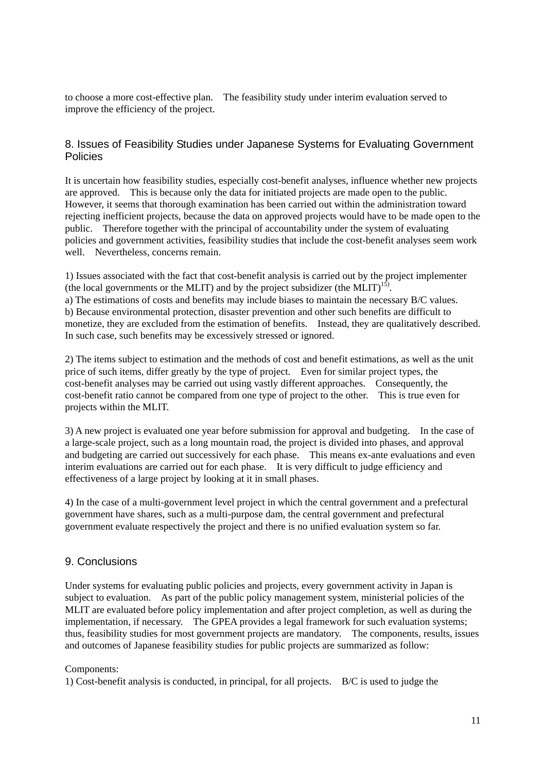to choose a more cost-effective plan. The feasibility study under interim evaluation served to improve the efficiency of the project.

## 8. Issues of Feasibility Studies under Japanese Systems for Evaluating Government Policies

It is uncertain how feasibility studies, especially cost-benefit analyses, influence whether new projects are approved. This is because only the data for initiated projects are made open to the public. However, it seems that thorough examination has been carried out within the administration toward rejecting inefficient projects, because the data on approved projects would have to be made open to the public. Therefore together with the principal of accountability under the system of evaluating policies and government activities, feasibility studies that include the cost-benefit analyses seem work well. Nevertheless, concerns remain.

1) Issues associated with the fact that cost-benefit analysis is carried out by the project implementer (the local governments or the MLIT) and by the project subsidizer (the MLIT)<sup>15)</sup>. a) The estimations of costs and benefits may include biases to maintain the necessary B/C values. b) Because environmental protection, disaster prevention and other such benefits are difficult to monetize, they are excluded from the estimation of benefits. Instead, they are qualitatively described. In such case, such benefits may be excessively stressed or ignored.

2) The items subject to estimation and the methods of cost and benefit estimations, as well as the unit price of such items, differ greatly by the type of project. Even for similar project types, the cost-benefit analyses may be carried out using vastly different approaches. Consequently, the cost-benefit ratio cannot be compared from one type of project to the other. This is true even for projects within the MLIT.

3) A new project is evaluated one year before submission for approval and budgeting. In the case of a large-scale project, such as a long mountain road, the project is divided into phases, and approval and budgeting are carried out successively for each phase. This means ex-ante evaluations and even interim evaluations are carried out for each phase. It is very difficult to judge efficiency and effectiveness of a large project by looking at it in small phases.

4) In the case of a multi-government level project in which the central government and a prefectural government have shares, such as a multi-purpose dam, the central government and prefectural government evaluate respectively the project and there is no unified evaluation system so far.

## 9. Conclusions

Under systems for evaluating public policies and projects, every government activity in Japan is subject to evaluation. As part of the public policy management system, ministerial policies of the MLIT are evaluated before policy implementation and after project completion, as well as during the implementation, if necessary. The GPEA provides a legal framework for such evaluation systems; thus, feasibility studies for most government projects are mandatory. The components, results, issues and outcomes of Japanese feasibility studies for public projects are summarized as follow:

#### Components:

1) Cost-benefit analysis is conducted, in principal, for all projects. B/C is used to judge the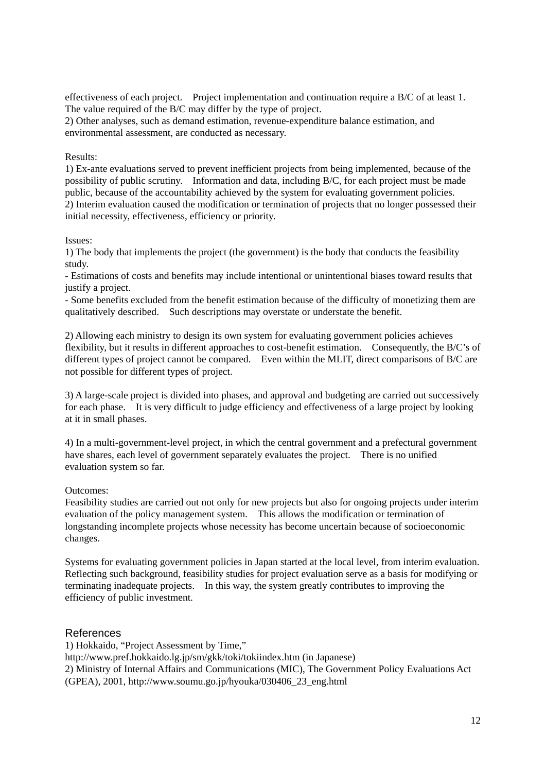effectiveness of each project. Project implementation and continuation require a B/C of at least 1. The value required of the B/C may differ by the type of project.

2) Other analyses, such as demand estimation, revenue-expenditure balance estimation, and environmental assessment, are conducted as necessary.

#### Results:

1) Ex-ante evaluations served to prevent inefficient projects from being implemented, because of the possibility of public scrutiny. Information and data, including B/C, for each project must be made public, because of the accountability achieved by the system for evaluating government policies. 2) Interim evaluation caused the modification or termination of projects that no longer possessed their initial necessity, effectiveness, efficiency or priority.

#### Issues:

1) The body that implements the project (the government) is the body that conducts the feasibility study.

- Estimations of costs and benefits may include intentional or unintentional biases toward results that justify a project.

- Some benefits excluded from the benefit estimation because of the difficulty of monetizing them are qualitatively described. Such descriptions may overstate or understate the benefit.

2) Allowing each ministry to design its own system for evaluating government policies achieves flexibility, but it results in different approaches to cost-benefit estimation. Consequently, the B/C's of different types of project cannot be compared. Even within the MLIT, direct comparisons of B/C are not possible for different types of project.

3) A large-scale project is divided into phases, and approval and budgeting are carried out successively for each phase. It is very difficult to judge efficiency and effectiveness of a large project by looking at it in small phases.

4) In a multi-government-level project, in which the central government and a prefectural government have shares, each level of government separately evaluates the project. There is no unified evaluation system so far.

#### Outcomes:

Feasibility studies are carried out not only for new projects but also for ongoing projects under interim evaluation of the policy management system. This allows the modification or termination of longstanding incomplete projects whose necessity has become uncertain because of socioeconomic changes.

Systems for evaluating government policies in Japan started at the local level, from interim evaluation. Reflecting such background, feasibility studies for project evaluation serve as a basis for modifying or terminating inadequate projects. In this way, the system greatly contributes to improving the efficiency of public investment.

## References

1) Hokkaido, "Project Assessment by Time,"

http://www.pref.hokkaido.lg.jp/sm/gkk/toki/tokiindex.htm (in Japanese)

2) Ministry of Internal Affairs and Communications (MIC), The Government Policy Evaluations Act (GPEA), 2001, http://www.soumu.go.jp/hyouka/030406\_23\_eng.html